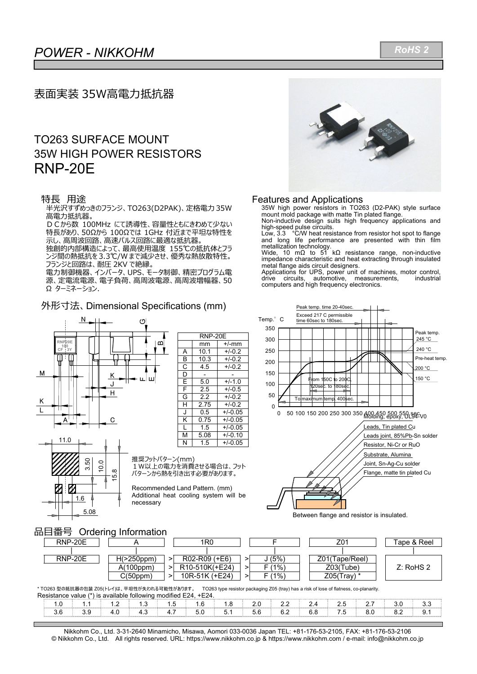## *POWER - NIKKOHM*   $\overline{\phantom{a}}$

## 表面実装 35W高電力抵抗器

## TO263 SURFACE MOUNT 35W HIGH POWER RESISTORS RNP-20E

#### 特長 用涂

半光沢すずめっきのフランジ、TO263(D2PAK)、定格電力 35W 高電力抵抗器。

DCから数 100MHz にて誘導性、容量性ともにきわめて少ない 特⻑があり、50Ωから 100Ωでは 1GHz 付近まで平坦な特性を 示し、高周波回路、高速パルス回路に最適な抵抗器。

独創的内部構造によって、最⾼使⽤温度 155℃の抵抗体とフラ ンジ間の熱抵抗を 3.3℃/W まで減少させ、優秀な熱放散特性。 フランジと回路は、耐圧 2KV で絶縁。

- ラフ・コール<br>電力制御機器、インバータ、UPS、モータ制御、精密プログラム電 源、定電流電源、電子負荷、高周波電源、高周波増幅器、50 Ω ターミネーション.

m

#### 外形⼨法、Dimensional Specifications (mm)



|   | <b>RNP-20E</b> |           |  |  |  |  |  |  |  |  |  |
|---|----------------|-----------|--|--|--|--|--|--|--|--|--|
|   | mm             | $+/-$ mm  |  |  |  |  |  |  |  |  |  |
| A | 10.1           | $+/-0.2$  |  |  |  |  |  |  |  |  |  |
| B | 10.3           | $+/-0.2$  |  |  |  |  |  |  |  |  |  |
| C | 4.5            | $+/-0.2$  |  |  |  |  |  |  |  |  |  |
| D |                |           |  |  |  |  |  |  |  |  |  |
| F | 5.0            | $+/-1.0$  |  |  |  |  |  |  |  |  |  |
| F | 2.5            | $+/-0.5$  |  |  |  |  |  |  |  |  |  |
| G | 2.2            | $+/-0.2$  |  |  |  |  |  |  |  |  |  |
| Н | 2.75           | $+/-0.2$  |  |  |  |  |  |  |  |  |  |
| J | 0.5            | $+/-0.05$ |  |  |  |  |  |  |  |  |  |
| Κ | 0.75           | $+/-0.05$ |  |  |  |  |  |  |  |  |  |
| L | 1.5            | $+/-0.05$ |  |  |  |  |  |  |  |  |  |
| м | 5.08           | $+/-0.10$ |  |  |  |  |  |  |  |  |  |
| N | 1.5            | $+/-0.05$ |  |  |  |  |  |  |  |  |  |
|   |                |           |  |  |  |  |  |  |  |  |  |



推奨フットパターン(mm) 1W以上の電力を消費させる場合は、フット パターンから熱を引き出す必要があります。

Recommended Land Pattern. (mm) Additional heat cooling system will be necessary



#### Features and Applications

35W high power resistors in TO263 (D2-PAK) style surface mount mold package with matte Tin plated flange. Non-inductive design suits high frequency applications and

high-speed pulse circuits. Low, 3.3 °C/W heat resistance from resistor hot spot to flange

and long life performance are presented with thin film

metallization technology. Wide, 10 mΩ to 51 kΩ resistance range, non-inductive impedance characteristic and heat extracting through insulated metal flange aids circuit designers.

Applications for UPS, power unit of machines, motor control,<br>drive circuits, automotive, measurements, industrial drive circuits, automotive, measurements, industrial computers and high frequency electronics.



Between flange and resistor is insulated.

### 品⽬番号 Ordering Information

| RNP-20E |                  | 1R0                                      |      | Z01              | Tape & Reel |
|---------|------------------|------------------------------------------|------|------------------|-------------|
|         |                  |                                          |      |                  |             |
| RNP-20E | $H(>250$ ppm $)$ | R02-R09 (+E6)                            | (5%) | Z01(Tape/Reel)   |             |
|         | A(100ppm)        | R <sub>10</sub> -510K(+E <sub>24</sub> ) | (1%) | Z03(Tube)        | Z: RoHS 2   |
|         | C(50ppm)         | 10R-51K (+E24)                           | (1%) | $Z05$ (Tray) $*$ |             |

\* TO263 型の抵抗器の包装 Z05(トレイ)は、平坦性が失われる可能性があります。 TO263 type resistor packaging Z05 (tray) has a risk of lose of flatness, co-planarity. Resistance value (\*) is available following modified E24, +E24.

| n <del>c</del> oiolanuc valuc |  | $\sim$ is available following modified EZ4. $\sim$ |     |  | TL44. |  |          |  |  |  |  |  |                  |
|-------------------------------|--|----------------------------------------------------|-----|--|-------|--|----------|--|--|--|--|--|------------------|
|                               |  |                                                    | - - |  |       |  |          |  |  |  |  |  |                  |
|                               |  |                                                    | . - |  | 50    |  | <u>.</u> |  |  |  |  |  | $\mathsf{v}$ . I |

Nikkohm Co., Ltd. 3-31-2640 Minamicho, Misawa, Aomori 033-0036 Japan TEL: +81-176-53-2105, FAX: +81-176-53-2106 © Nikkohm Co., Ltd. All rights reserved. URL: https://www.nikkohm.co.jp & https://www.nikkohm.com / e-mail: info@nikkohm.co.jp